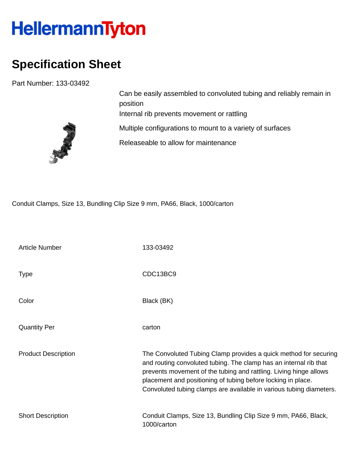## HellermannTyton

## **Specification Sheet**

Part Number: 133-03492



Can be easily assembled to convoluted tubing and reliably remain in position Internal rib prevents movement or rattling

Multiple configurations to mount to a variety of surfaces

Releaseable to allow for maintenance

Conduit Clamps, Size 13, Bundling Clip Size 9 mm, PA66, Black, 1000/carton

| <b>Article Number</b>      | 133-03492                                                                                                                                                                                                                                                                                                                                         |
|----------------------------|---------------------------------------------------------------------------------------------------------------------------------------------------------------------------------------------------------------------------------------------------------------------------------------------------------------------------------------------------|
| Type                       | CDC13BC9                                                                                                                                                                                                                                                                                                                                          |
| Color                      | Black (BK)                                                                                                                                                                                                                                                                                                                                        |
| <b>Quantity Per</b>        | carton                                                                                                                                                                                                                                                                                                                                            |
| <b>Product Description</b> | The Convoluted Tubing Clamp provides a quick method for securing<br>and routing convoluted tubing. The clamp has an internal rib that<br>prevents movement of the tubing and rattling. Living hinge allows<br>placement and positioning of tubing before locking in place.<br>Convoluted tubing clamps are available in various tubing diameters. |
| <b>Short Description</b>   | Conduit Clamps, Size 13, Bundling Clip Size 9 mm, PA66, Black,<br>1000/carton                                                                                                                                                                                                                                                                     |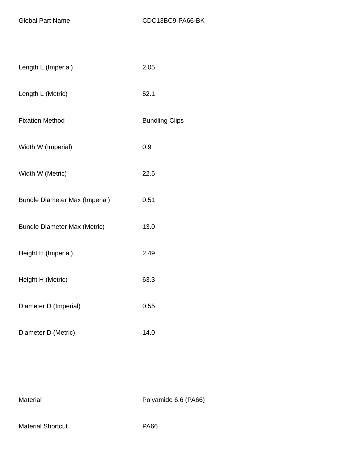| Length L (Imperial)                   | 2.05                  |
|---------------------------------------|-----------------------|
| Length L (Metric)                     | 52.1                  |
| <b>Fixation Method</b>                | <b>Bundling Clips</b> |
| Width W (Imperial)                    | 0.9                   |
| Width W (Metric)                      | 22.5                  |
| <b>Bundle Diameter Max (Imperial)</b> | 0.51                  |
| <b>Bundle Diameter Max (Metric)</b>   | 13.0                  |
| Height H (Imperial)                   | 2.49                  |
| Height H (Metric)                     | 63.3                  |
| Diameter D (Imperial)                 | 0.55                  |
| Diameter D (Metric)                   | 14.0                  |

Material Material Polyamide 6.6 (PA66)

Material Shortcut **PA66**